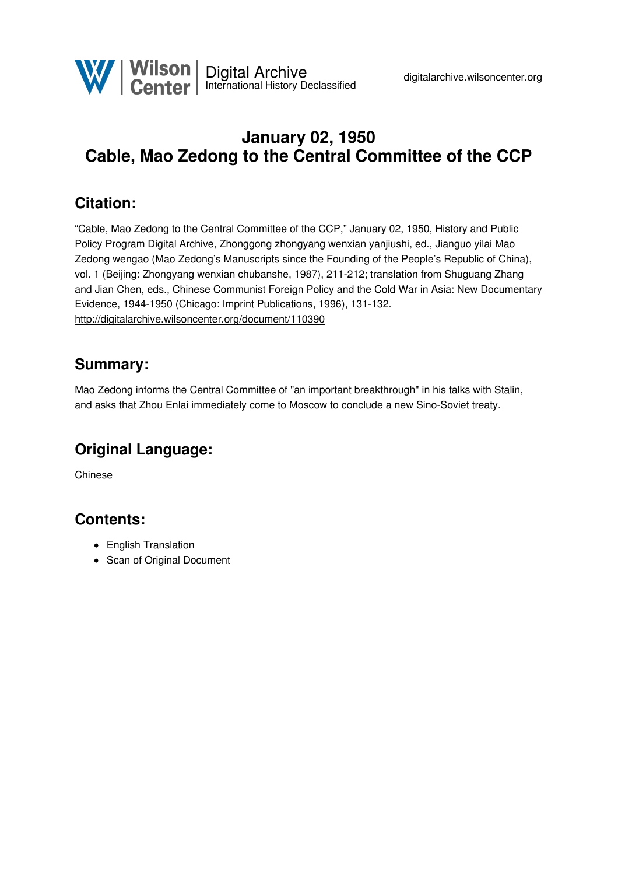# **January 02, 1950 Cable, Mao Zedong to the Central Committee of the CCP**

## **Citation:**

"Cable, Mao Zedong to the Central Committee of the CCP," January 02, 1950, History and Public Policy Program Digital Archive, Zhonggong zhongyang wenxian yanjiushi, ed., Jianguo yilai Mao Zedong wengao (Mao Zedong's Manuscripts since the Founding of the People's Republic of China), vol. 1 (Beijing: Zhongyang wenxian chubanshe, 1987), 211-212; translation from Shuguang Zhang and Jian Chen, eds., Chinese Communist Foreign Policy and the Cold War in Asia: New Documentary Evidence, 1944-1950 (Chicago: Imprint Publications, 1996), 131-132. <http://digitalarchive.wilsoncenter.org/document/110390>

### **Summary:**

Mao Zedong informs the Central Committee of "an important breakthrough" in his talks with Stalin, and asks that Zhou Enlai immediately come to Moscow to conclude a new Sino-Soviet treaty.

# **Original Language:**

Chinese

### **Contents:**

- English Translation
- Scan of Original Document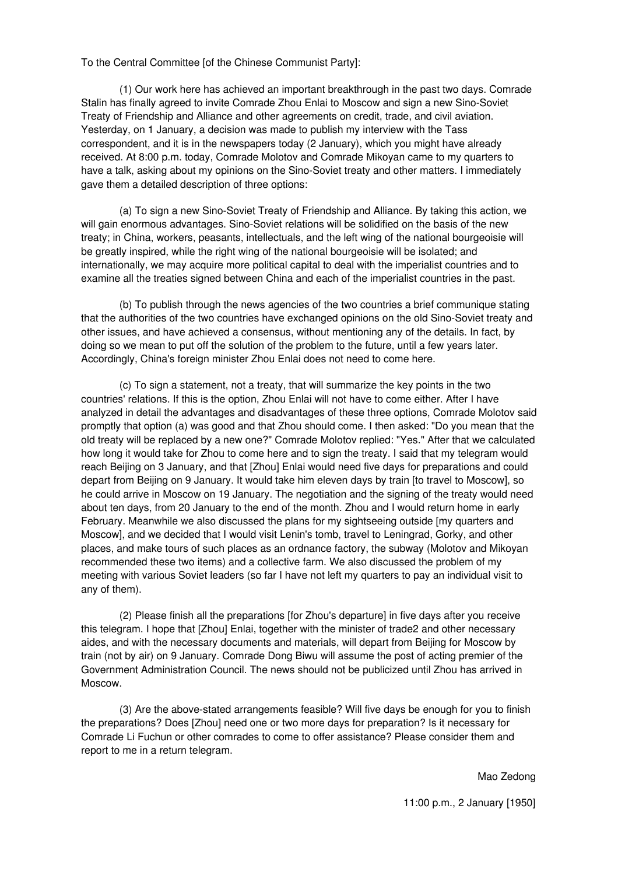To the Central Committee [of the Chinese Communist Party]:

(1) Our work here has achieved an important breakthrough in the past two days. Comrade Stalin has finally agreed to invite Comrade Zhou Enlai to Moscow and sign a new Sino-Soviet Treaty of Friendship and Alliance and other agreements on credit, trade, and civil aviation. Yesterday, on 1 January, a decision was made to publish my interview with the Tass correspondent, and it is in the newspapers today (2 January), which you might have already received. At 8:00 p.m. today, Comrade Molotov and Comrade Mikoyan came to my quarters to have a talk, asking about my opinions on the Sino-Soviet treaty and other matters. I immediately gave them a detailed description of three options:

(a) To sign a new Sino-Soviet Treaty of Friendship and Alliance. By taking this action, we will gain enormous advantages. Sino-Soviet relations will be solidified on the basis of the new treaty; in China, workers, peasants, intellectuals, and the left wing of the national bourgeoisie will be greatly inspired, while the right wing of the national bourgeoisie will be isolated; and internationally, we may acquire more political capital to deal with the imperialist countries and to examine all the treaties signed between China and each of the imperialist countries in the past.

(b) To publish through the news agencies of the two countries a brief communique stating that the authorities of the two countries have exchanged opinions on the old Sino-Soviet treaty and other issues, and have achieved a consensus, without mentioning any of the details. In fact, by doing so we mean to put off the solution of the problem to the future, until a few years later. Accordingly, China's foreign minister Zhou Enlai does not need to come here.

(c) To sign a statement, not a treaty, that will summarize the key points in the two countries' relations. If this is the option, Zhou Enlai will not have to come either. After I have analyzed in detail the advantages and disadvantages of these three options, Comrade Molotov said promptly that option (a) was good and that Zhou should come. I then asked: "Do you mean that the old treaty will be replaced by a new one?" Comrade Molotov replied: "Yes." After that we calculated how long it would take for Zhou to come here and to sign the treaty. I said that my telegram would reach Beijing on 3 January, and that [Zhou] Enlai would need five days for preparations and could depart from Beijing on 9 January. It would take him eleven days by train [to travel to Moscow], so he could arrive in Moscow on 19 January. The negotiation and the signing of the treaty would need about ten days, from 20 January to the end of the month. Zhou and I would return home in early February. Meanwhile we also discussed the plans for my sightseeing outside [my quarters and Moscow], and we decided that I would visit Lenin's tomb, travel to Leningrad, Gorky, and other places, and make tours of such places as an ordnance factory, the subway (Molotov and Mikoyan recommended these two items) and a collective farm. We also discussed the problem of my meeting with various Soviet leaders (so far I have not left my quarters to pay an individual visit to any of them).

(2) Please finish all the preparations [for Zhou's departure] in five days after you receive this telegram. I hope that [Zhou] Enlai, together with the minister of trade2 and other necessary aides, and with the necessary documents and materials, will depart from Beijing for Moscow by train (not by air) on 9 January. Comrade Dong Biwu will assume the post of acting premier of the Government Administration Council. The news should not be publicized until Zhou has arrived in Moscow.

(3) Are the above-stated arrangements feasible? Will five days be enough for you to finish the preparations? Does [Zhou] need one or two more days for preparation? Is it necessary for Comrade Li Fuchun or other comrades to come to offer assistance? Please consider them and report to me in a return telegram.

Mao Zedong

11:00 p.m., 2 January [1950]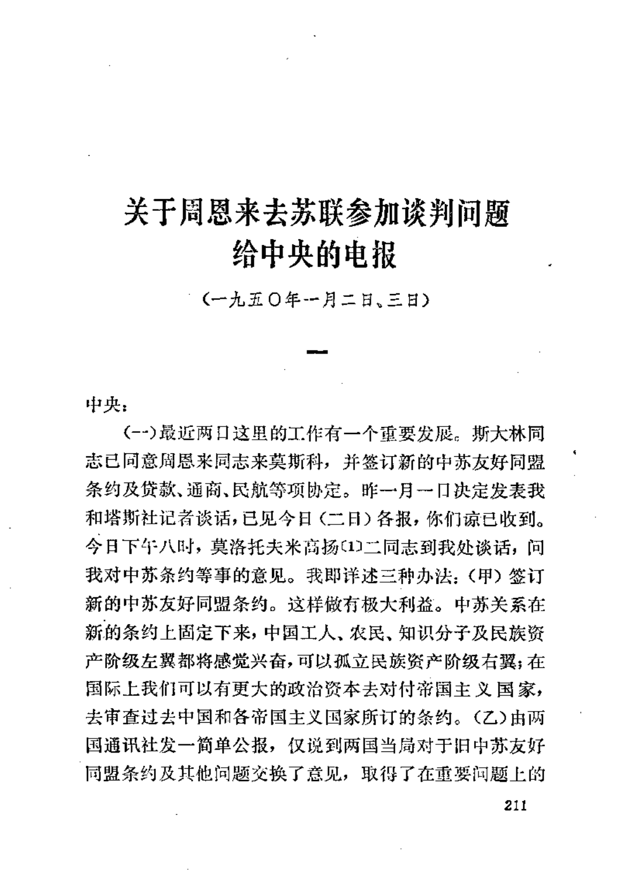# 关于周恩来去苏联参加谈判问题 给中央的电报

(一九五〇年一月二日、三日)

中央:

(一)最近两日这里的工作有一个重要发展。斯大林同 志已同意周恩来同志来莫斯科,并签订新的中苏友好同盟 条约及贷款、通商、民航等项协定。昨一月一日决定发表我 和塔斯社记者谈话,已见今日(二日)各报,你们凉已收到。 今日下午八时, 莫洛托夫米高扬(1)二同志到我处谈话, 问 我对中苏条约等事的意见。我即详述三种办法:(甲)签订 新的中苏友好同盟条约。这样做有极大利益。中苏关系在 新的条约上固定下来,中国工人、农民、知识分子及民族资 产阶级左翼都将感觉兴奋,可以孤立民族资产阶级右翼;在 国际上我们可以有更大的政治资本去对付帝国主义国家, 去审查过去中国和各帝国主义国家所订的条约。(乙)由两 国通讯社发一简单公报,仅说到两国当局对于旧中苏友好 同盟条约及其他问题交换了意见, 取得了在重要问题上的

211